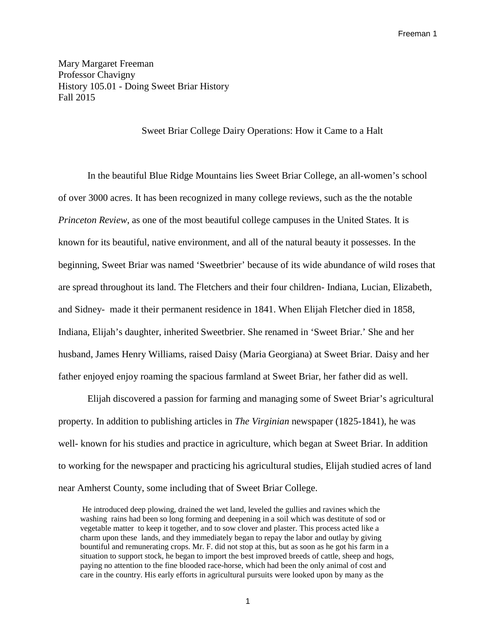Mary Margaret Freeman Professor Chavigny History 105.01 - Doing Sweet Briar History Fall 2015

Sweet Briar College Dairy Operations: How it Came to a Halt

In the beautiful Blue Ridge Mountains lies Sweet Briar College, an all-women's school of over 3000 acres. It has been recognized in many college reviews, such as the the notable *Princeton Review*, as one of the most beautiful college campuses in the United States. It is known for its beautiful, native environment, and all of the natural beauty it possesses. In the beginning, Sweet Briar was named 'Sweetbrier' because of its wide abundance of wild roses that are spread throughout its land. The Fletchers and their four children- Indiana, Lucian, Elizabeth, and Sidney- made it their permanent residence in 1841. When Elijah Fletcher died in 1858, Indiana, Elijah's daughter, inherited Sweetbrier. She renamed in 'Sweet Briar.' She and her husband, James Henry Williams, raised Daisy (Maria Georgiana) at Sweet Briar. Daisy and her father enjoyed enjoy roaming the spacious farmland at Sweet Briar, her father did as well.

Elijah discovered a passion for farming and managing some of Sweet Briar's agricultural property. In addition to publishing articles in *The Virginian* newspaper (1825-1841), he was well- known for his studies and practice in agriculture, which began at Sweet Briar. In addition to working for the newspaper and practicing his agricultural studies, Elijah studied acres of land near Amherst County, some including that of Sweet Briar College.

He introduced deep plowing, drained the wet land, leveled the gullies and ravines which the washing rains had been so long forming and deepening in a soil which was destitute of sod or vegetable matter to keep it together, and to sow clover and plaster. This process acted like a charm upon these lands, and they immediately began to repay the labor and outlay by giving bountiful and remunerating crops. Mr. F. did not stop at this, but as soon as he got his farm in a situation to support stock, he began to import the best improved breeds of cattle, sheep and hogs, paying no attention to the fine blooded race-horse, which had been the only animal of cost and care in the country. His early efforts in agricultural pursuits were looked upon by many as the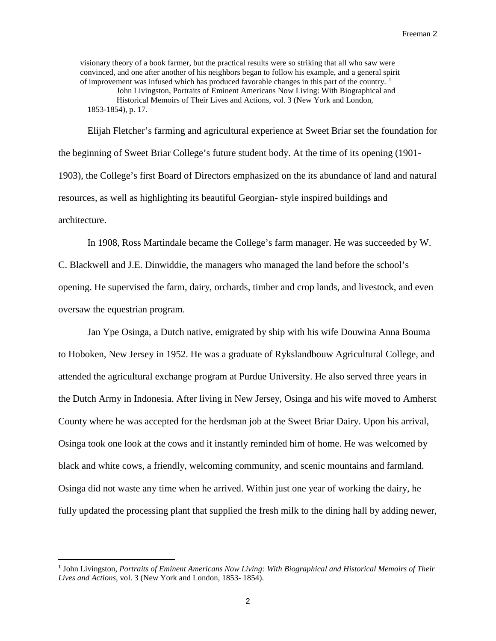visionary theory of a book farmer, but the practical results were so striking that all who saw were convinced, and one after another of his neighbors began to follow his example, and a general spirit of improvement was infused which has produced favorable changes in this part of the country.  $\frac{1}{1}$  $\frac{1}{1}$  $\frac{1}{1}$ John Livingston, Portraits of Eminent Americans Now Living: With Biographical and Historical Memoirs of Their Lives and Actions, vol. 3 (New York and London, 1853-1854), p. 17.

Elijah Fletcher's farming and agricultural experience at Sweet Briar set the foundation for the beginning of Sweet Briar College's future student body. At the time of its opening (1901- 1903), the College's first Board of Directors emphasized on the its abundance of land and natural resources, as well as highlighting its beautiful Georgian- style inspired buildings and architecture.

In 1908, Ross Martindale became the College's farm manager. He was succeeded by W. C. Blackwell and J.E. Dinwiddie, the managers who managed the land before the school's opening. He supervised the farm, dairy, orchards, timber and crop lands, and livestock, and even oversaw the equestrian program.

Jan Ype Osinga, a Dutch native, emigrated by ship with his wife Douwina Anna Bouma to Hoboken, New Jersey in 1952. He was a graduate of Rykslandbouw Agricultural College, and attended the agricultural exchange program at Purdue University. He also served three years in the Dutch Army in Indonesia. After living in New Jersey, Osinga and his wife moved to Amherst County where he was accepted for the herdsman job at the Sweet Briar Dairy. Upon his arrival, Osinga took one look at the cows and it instantly reminded him of home. He was welcomed by black and white cows, a friendly, welcoming community, and scenic mountains and farmland. Osinga did not waste any time when he arrived. Within just one year of working the dairy, he fully updated the processing plant that supplied the fresh milk to the dining hall by adding newer,

<span id="page-1-1"></span><span id="page-1-0"></span> <sup>1</sup> John Livingston, *Portraits of Eminent Americans Now Living: With Biographical and Historical Memoirs of Their Lives and Actions*, vol. 3 (New York and London, 1853- 1854).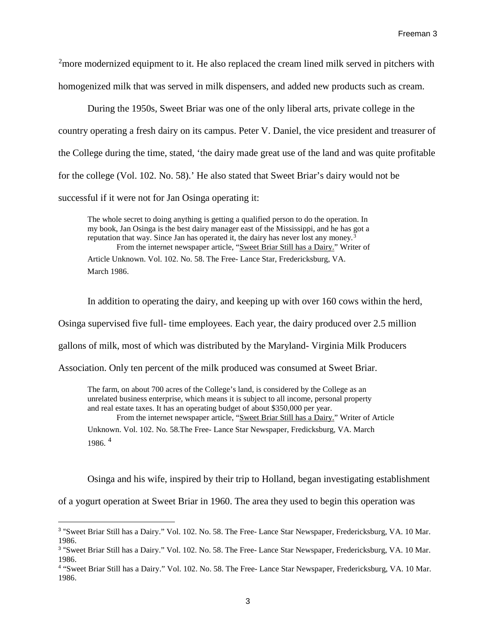<span id="page-2-1"></span><sup>[2](#page-1-1)</sup>more modernized equipment to it. He also replaced the cream lined milk served in pitchers with homogenized milk that was served in milk dispensers, and added new products such as cream.

During the 1950s, Sweet Briar was one of the only liberal arts, private college in the country operating a fresh dairy on its campus. Peter V. Daniel, the vice president and treasurer of the College during the time, stated, 'the dairy made great use of the land and was quite profitable for the college (Vol. 102. No. 58).' He also stated that Sweet Briar's dairy would not be successful if it were not for Jan Osinga operating it:

The whole secret to doing anything is getting a qualified person to do the operation. In my book, Jan Osinga is the best dairy manager east of the Mississippi, and he has got a reputation that way. Since Jan has operated it, the dairy has never lost any money.<sup>[3](#page-2-0)</sup> From the internet newspaper article, "Sweet Briar Still has a Dairy." Writer of Article Unknown. Vol. 102. No. 58. The Free- Lance Star, Fredericksburg, VA. March 1986.

In addition to operating the dairy, and keeping up with over 160 cows within the herd,

Osinga supervised five full- time employees. Each year, the dairy produced over 2.5 million

gallons of milk, most of which was distributed by the Maryland- Virginia Milk Producers

Association. Only ten percent of the milk produced was consumed at Sweet Briar.

The farm, on about 700 acres of the College's land, is considered by the College as an unrelated business enterprise, which means it is subject to all income, personal property and real estate taxes. It has an operating budget of about \$350,000 per year. From the internet newspaper article, "Sweet Briar Still has a Dairy." Writer of Article Unknown. Vol. 102. No. 58.The Free- Lance Star Newspaper, Fredicksburg, VA. March 1986. [4](#page-2-1)

Osinga and his wife, inspired by their trip to Holland, began investigating establishment

of a yogurt operation at Sweet Briar in 1960. The area they used to begin this operation was

 $\overline{a}$ 

<span id="page-2-0"></span><sup>3</sup> "Sweet Briar Still has a Dairy." Vol. 102. No. 58. The Free- Lance Star Newspaper, Fredericksburg, VA. 10 Mar. 1986.

<sup>3</sup> "Sweet Briar Still has a Dairy." Vol. 102. No. 58. The Free- Lance Star Newspaper, Fredericksburg, VA. 10 Mar. 1986.

<sup>4</sup> "Sweet Briar Still has a Dairy." Vol. 102. No. 58. The Free- Lance Star Newspaper, Fredericksburg, VA. 10 Mar. 1986.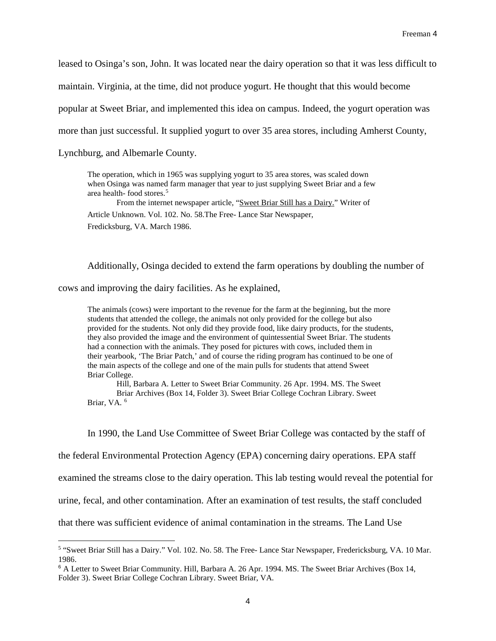leased to Osinga's son, John. It was located near the dairy operation so that it was less difficult to maintain. Virginia, at the time, did not produce yogurt. He thought that this would become popular at Sweet Briar, and implemented this idea on campus. Indeed, the yogurt operation was more than just successful. It supplied yogurt to over 35 area stores, including Amherst County, Lynchburg, and Albemarle County.

The operation, which in 1965 was supplying yogurt to 35 area stores, was scaled down when Osinga was named farm manager that year to just supplying Sweet Briar and a few area health- food stores.[5](#page-3-0)

From the internet newspaper article, "Sweet Briar Still has a Dairy." Writer of Article Unknown. Vol. 102. No. 58.The Free- Lance Star Newspaper, Fredicksburg, VA. March 1986.

Additionally, Osinga decided to extend the farm operations by doubling the number of

cows and improving the dairy facilities. As he explained,

The animals (cows) were important to the revenue for the farm at the beginning, but the more students that attended the college, the animals not only provided for the college but also provided for the students. Not only did they provide food, like dairy products, for the students, they also provided the image and the environment of quintessential Sweet Briar. The students had a connection with the animals. They posed for pictures with cows, included them in their yearbook, 'The Briar Patch,' and of course the riding program has continued to be one of the main aspects of the college and one of the main pulls for students that attend Sweet Briar College.

Hill, Barbara A. Letter to Sweet Briar Community. 26 Apr. 1994. MS. The Sweet Briar Archives (Box 14, Folder 3). Sweet Briar College Cochran Library. Sweet Briar, VA. [6](#page-3-1)

In 1990, the Land Use Committee of Sweet Briar College was contacted by the staff of

the federal Environmental Protection Agency (EPA) concerning dairy operations. EPA staff

examined the streams close to the dairy operation. This lab testing would reveal the potential for

urine, fecal, and other contamination. After an examination of test results, the staff concluded

that there was sufficient evidence of animal contamination in the streams. The Land Use

<span id="page-3-0"></span> <sup>5</sup> "Sweet Briar Still has a Dairy." Vol. 102. No. 58. The Free- Lance Star Newspaper, Fredericksburg, VA. 10 Mar. 1986.

<span id="page-3-1"></span><sup>6</sup> A Letter to Sweet Briar Community. Hill, Barbara A. 26 Apr. 1994. MS. The Sweet Briar Archives (Box 14, Folder 3). Sweet Briar College Cochran Library. Sweet Briar, VA.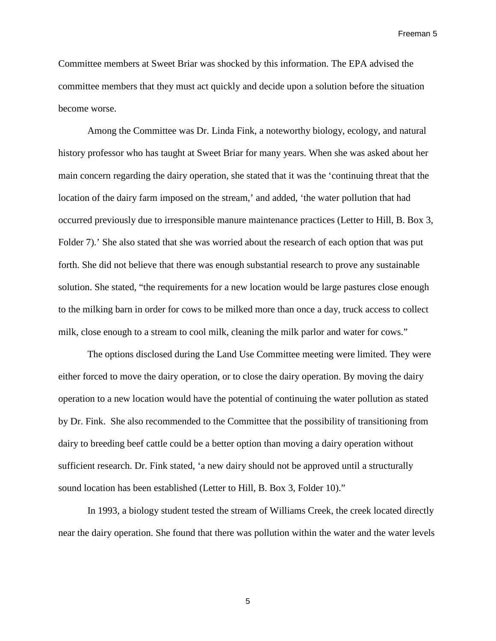Freeman 5

Committee members at Sweet Briar was shocked by this information. The EPA advised the committee members that they must act quickly and decide upon a solution before the situation become worse.

Among the Committee was Dr. Linda Fink, a noteworthy biology, ecology, and natural history professor who has taught at Sweet Briar for many years. When she was asked about her main concern regarding the dairy operation, she stated that it was the 'continuing threat that the location of the dairy farm imposed on the stream,' and added, 'the water pollution that had occurred previously due to irresponsible manure maintenance practices (Letter to Hill, B. Box 3, Folder 7).' She also stated that she was worried about the research of each option that was put forth. She did not believe that there was enough substantial research to prove any sustainable solution. She stated, "the requirements for a new location would be large pastures close enough to the milking barn in order for cows to be milked more than once a day, truck access to collect milk, close enough to a stream to cool milk, cleaning the milk parlor and water for cows."

The options disclosed during the Land Use Committee meeting were limited. They were either forced to move the dairy operation, or to close the dairy operation. By moving the dairy operation to a new location would have the potential of continuing the water pollution as stated by Dr. Fink. She also recommended to the Committee that the possibility of transitioning from dairy to breeding beef cattle could be a better option than moving a dairy operation without sufficient research. Dr. Fink stated, 'a new dairy should not be approved until a structurally sound location has been established (Letter to Hill, B. Box 3, Folder 10)."

In 1993, a biology student tested the stream of Williams Creek, the creek located directly near the dairy operation. She found that there was pollution within the water and the water levels

5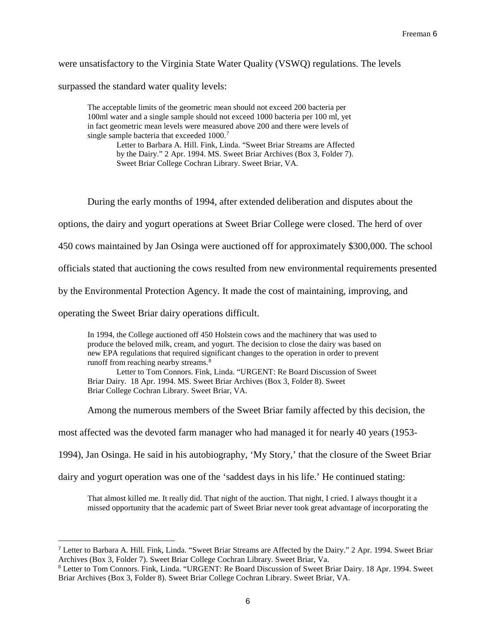were unsatisfactory to the Virginia State Water Quality (VSWQ) regulations. The levels

surpassed the standard water quality levels:

The acceptable limits of the geometric mean should not exceed 200 bacteria per 100ml water and a single sample should not exceed 1000 bacteria per 100 ml, yet in fact geometric mean levels were measured above 200 and there were levels of single sample bacteria that exceeded 1000.<sup>[7](#page-5-0)</sup>

> Letter to Barbara A. Hill. Fink, Linda. "Sweet Briar Streams are Affected by the Dairy." 2 Apr. 1994. MS. Sweet Briar Archives (Box 3, Folder 7). Sweet Briar College Cochran Library. Sweet Briar, VA.

During the early months of 1994, after extended deliberation and disputes about the

options, the dairy and yogurt operations at Sweet Briar College were closed. The herd of over

450 cows maintained by Jan Osinga were auctioned off for approximately \$300,000. The school

officials stated that auctioning the cows resulted from new environmental requirements presented

by the Environmental Protection Agency. It made the cost of maintaining, improving, and

operating the Sweet Briar dairy operations difficult.

 $\overline{a}$ 

In 1994, the College auctioned off 450 Holstein cows and the machinery that was used to produce the beloved milk, cream, and yogurt. The decision to close the dairy was based on new EPA regulations that required significant changes to the operation in order to prevent runoff from reaching nearby streams.<sup>[8](#page-5-1)</sup>

Letter to Tom Connors. Fink, Linda. "URGENT: Re Board Discussion of Sweet Briar Dairy. 18 Apr. 1994. MS. Sweet Briar Archives (Box 3, Folder 8). Sweet Briar College Cochran Library. Sweet Briar, VA.

Among the numerous members of the Sweet Briar family affected by this decision, the

most affected was the devoted farm manager who had managed it for nearly 40 years (1953-

1994), Jan Osinga. He said in his autobiography, 'My Story,' that the closure of the Sweet Briar

dairy and yogurt operation was one of the 'saddest days in his life.' He continued stating:

That almost killed me. It really did. That night of the auction. That night, I cried. I always thought it a missed opportunity that the academic part of Sweet Briar never took great advantage of incorporating the

<span id="page-5-0"></span><sup>7</sup> Letter to Barbara A. Hill. Fink, Linda. "Sweet Briar Streams are Affected by the Dairy." 2 Apr. 1994. Sweet Briar Archives (Box 3, Folder 7). Sweet Briar College Cochran Library. Sweet Briar, Va.<br><sup>8</sup> Letter to Tom Connors. Fink, Linda. "URGENT: Re Board Discussion of Sweet Briar Dairy. 18 Apr. 1994. Sweet

<span id="page-5-1"></span>Briar Archives (Box 3, Folder 8). Sweet Briar College Cochran Library. Sweet Briar, VA.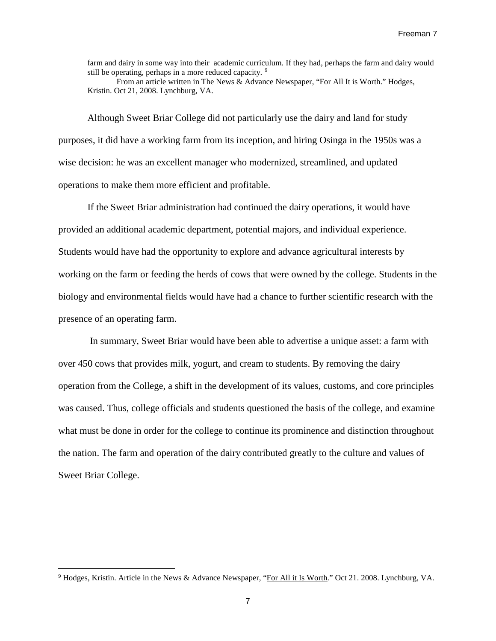farm and dairy in some way into their academic curriculum. If they had, perhaps the farm and dairy would still be operating, perhaps in a more reduced capacity. <sup>[9](#page-6-0)</sup>

From an article written in The News & Advance Newspaper, "For All It is Worth." Hodges, Kristin. Oct 21, 2008. Lynchburg, VA.

Although Sweet Briar College did not particularly use the dairy and land for study purposes, it did have a working farm from its inception, and hiring Osinga in the 1950s was a wise decision: he was an excellent manager who modernized, streamlined, and updated operations to make them more efficient and profitable.

If the Sweet Briar administration had continued the dairy operations, it would have provided an additional academic department, potential majors, and individual experience. Students would have had the opportunity to explore and advance agricultural interests by working on the farm or feeding the herds of cows that were owned by the college. Students in the biology and environmental fields would have had a chance to further scientific research with the presence of an operating farm.

In summary, Sweet Briar would have been able to advertise a unique asset: a farm with over 450 cows that provides milk, yogurt, and cream to students. By removing the dairy operation from the College, a shift in the development of its values, customs, and core principles was caused. Thus, college officials and students questioned the basis of the college, and examine what must be done in order for the college to continue its prominence and distinction throughout the nation. The farm and operation of the dairy contributed greatly to the culture and values of Sweet Briar College.

<span id="page-6-0"></span><sup>&</sup>lt;sup>9</sup> Hodges, Kristin. Article in the News & Advance Newspaper, "For All it Is Worth." Oct 21. 2008. Lynchburg, VA.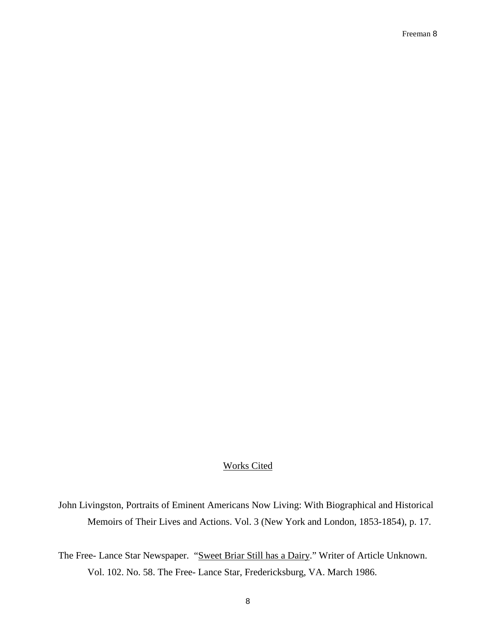## Works Cited

John Livingston, Portraits of Eminent Americans Now Living: With Biographical and Historical Memoirs of Their Lives and Actions. Vol. 3 (New York and London, 1853-1854), p. 17.

The Free- Lance Star Newspaper. "Sweet Briar Still has a Dairy." Writer of Article Unknown. Vol. 102. No. 58. The Free- Lance Star, Fredericksburg, VA. March 1986.